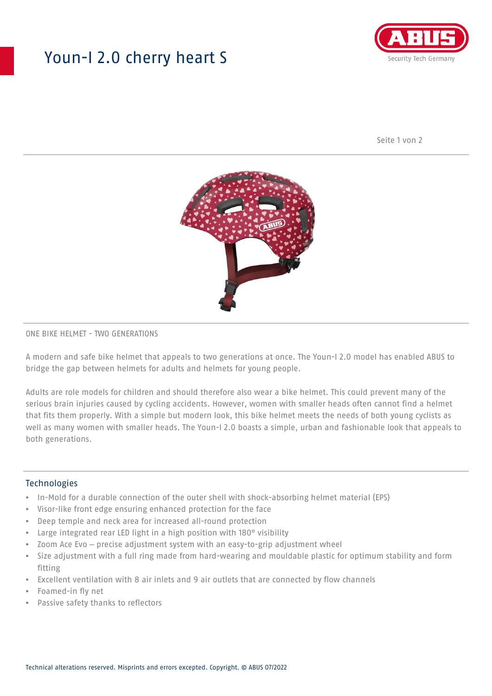## Youn-I 2.0 cherry heart S



Seite 1 von 2



#### ONE BIKE HELMET - TWO GENERATIONS

A modern and safe bike helmet that appeals to two generations at once. The Youn-I 2.0 model has enabled ABUS to bridge the gap between helmets for adults and helmets for young people.

Adults are role models for children and should therefore also wear a bike helmet. This could prevent many of the serious brain injuries caused by cycling accidents. However, women with smaller heads often cannot find a helmet that fits them properly. With a simple but modern look, this bike helmet meets the needs of both young cyclists as well as many women with smaller heads. The Youn-I 2.0 boasts a simple, urban and fashionable look that appeals to both generations.

### **Technologies**

- In-Mold for a durable connection of the outer shell with shock-absorbing helmet material (EPS)
- Visor-like front edge ensuring enhanced protection for the face
- Deep temple and neck area for increased all-round protection
- Large integrated rear LED light in a high position with 180° visibility
- Zoom Ace Evo precise adjustment system with an easy-to-grip adjustment wheel
- Size adjustment with a full ring made from hard-wearing and mouldable plastic for optimum stability and form fitting
- Excellent ventilation with 8 air inlets and 9 air outlets that are connected by flow channels
- Foamed-in fly net
- Passive safety thanks to reflectors